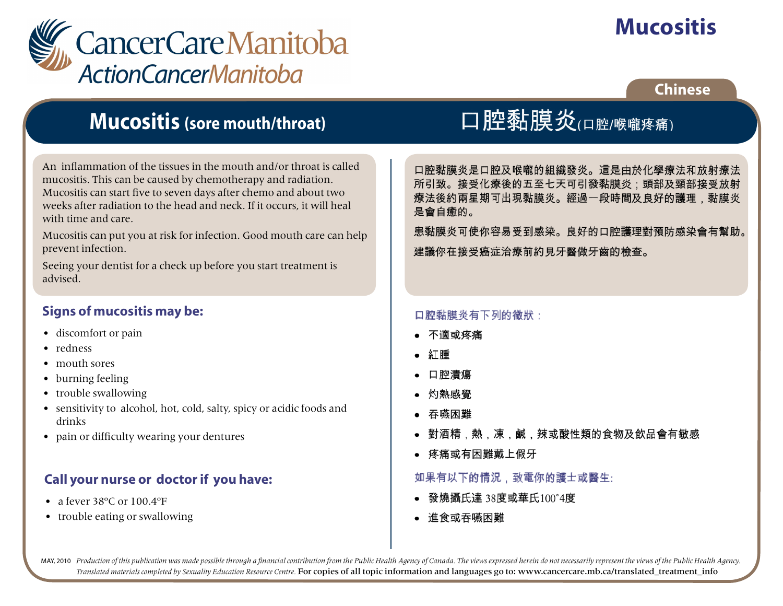

## **Mucositis**

### **Chinese**

### **Mucositis (sore mouth/throat)**

An inflammation of the tissues in the mouth and/or throat is called mucositis. This can be caused by chemotherapy and radiation. Mucositis can start five to seven days after chemo and about two weeks after radiation to the head and neck. If it occurs, it will heal with time and care.

Mucositis can put you at risk for infection. Good mouth care can help prevent infection.

Seeing your dentist for a check up before you start treatment is advised.

#### **Signs of mucositis may be:**

- discomfort or pain
- redness
- mouth sores
- burning feeling
- trouble swallowing
- sensitivity to alcohol, hot, cold, salty, spicy or acidic foods and drinks
- pain or difficulty wearing your dentures

### **Call your nurse or doctor if you have:**

- a fever 38°C or 100.4°F
- trouble eating or swallowing

# 口腔黏膜炎(口腔/喉嚨疼痛)

口腔黏膜炎是口腔及喉嚨的組織發炎。這是由於化學療法和放射療法 所引致。接受化療後的五至七天可引發黏膜炎:頭部及頸部接受放射 療法後約兩星期可出現黏膜炎。經過一段時間及良好的護理,黏膜炎 是會自癒的。

患黏膜炎可使你容易受到感染。良好的口腔護理對預防感染會有幫助。 建議你在接受癌症治療前約見牙醫做牙齒的檢查。

口腔黏膜炎有下列的徵狀:

- 不適或疼痛
- 紅腫
- 口腔清瘍
- 灼熱感覺
- 吞嚥困難
- 對酒精,熱,凍,鹹,辣或酸性類的食物及飲品會有敏感  $\bullet$
- 疼痛或有困難戴上假牙

#### 如果有以下的情況,致電你的護士或醫生:

- 發燒攝氏達 38度或華氏100°4度
- 進食或吞嚥困難

MAY, 2010 Production of this publication was made possible through a financial contribution from the Public Health Agency of Canada. The views expressed herein do not necessarily represent the views of the Public Health Ag *Translated materials completed by Sexuality Education Resource Centre.* For copies of all topic information and languages go to: www.cancercare.mb.ca/translated\_treatment\_info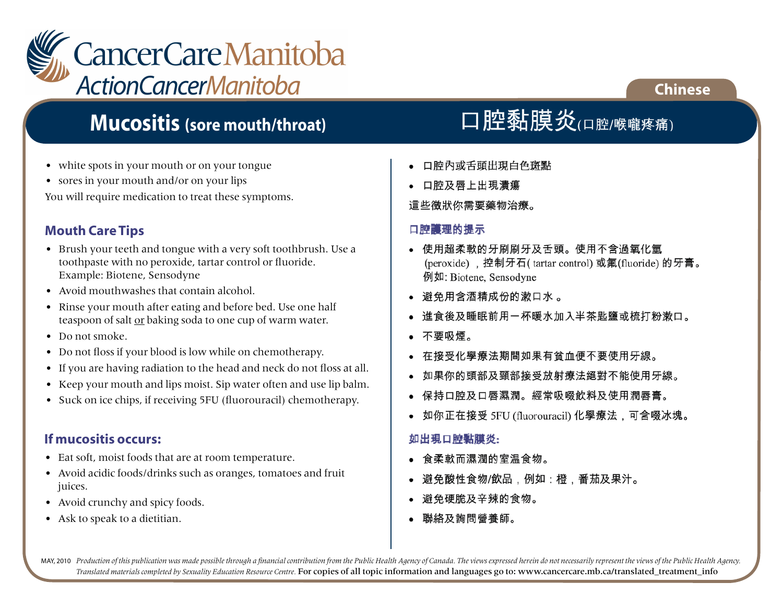

## **Mucositis (sore mouth/throat)**

- white spots in your mouth or on your tongue
- sores in your mouth and/or on your lips

You will require medication to treat these symptoms.

#### **Mouth Care Tips**

- Brush your teeth and tongue with a very soft toothbrush. Use a toothpaste with no peroxide, tartar control or fluoride. Example: Biotene, Sensodyne
- Avoid mouthwashes that contain alcohol.
- Rinse your mouth after eating and before bed. Use one half teaspoon of salt or baking soda to one cup of warm water.
- Do not smoke.
- Do not floss if your blood is low while on chemotherapy.
- If you are having radiation to the head and neck do not floss at all.
- Keep your mouth and lips moist. Sip water often and use lip balm.
- Suck on ice chips, if receiving 5FU (fluorouracil) chemotherapy.

#### **If mucositis occurs:**

- Eat soft, moist foods that are at room temperature.
- Avoid acidic foods/drinks such as oranges, tomatoes and fruit juices.
- Avoid crunchy and spicy foods.
- Ask to speak to a dietitian.

# 口腔黏膜炎(口腔/喉嚨疼痛)

- 口腔內或舌頭出現白色斑點
- 口腔及唇上出現潰瘍

這些徵狀你需要藥物治療。

#### 口腔護理的提示

- 使用超柔軟的牙刷刷牙及舌頭。使用不含過氧化氫 (peroxide), 控制牙石(tartar control)或氟(fluoride)的牙膏。 例如: Biotene, Sensodyne
- 避免用含酒精成份的漱口水。
- 進食後及睡眠前用一杯暖水加入半茶匙鹽或梳打粉漱口。
- 不要吸煙。
- 在接受化學療法期間如果有貧血便不要使用牙線。
- 如果你的頭部及頸部接受放射療法絕對不能使用牙線。
- 保持口腔及口唇濕潤。經常吸啜飲料及使用潤唇膏。
- 如你正在接受 5FU (fluorouracil) 化學療法,可含啜冰塊。

#### 如出現口腔黏膜炎:

- 食柔軟而濕潤的室温食物。
- 避免酸性食物/飲品,例如:橙,番茄及果汁。
- 避免硬脆及辛辣的食物。
- 聯絡及詢問營養師。

MAY, 2010 Production of this publication was made possible through a financial contribution from the Public Health Agency of Canada. The views expressed herein do not necessarily represent the views of the Public Health Ag *Translated materials completed by Sexuality Education Resource Centre.* For copies of all topic information and languages go to: www.cancercare.mb.ca/translated\_treatment\_info

### **Chinese**